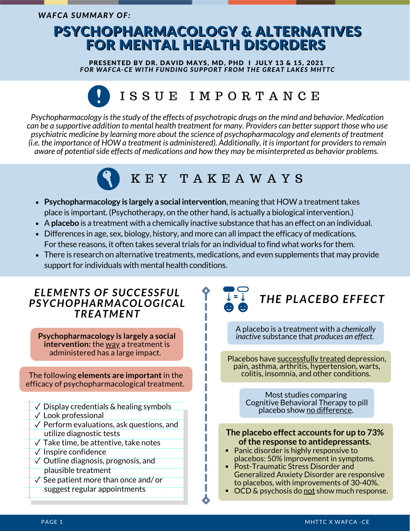## PSYCHOPHARMACOLOGY & ALTERNATIVES FOR MENTAL HEALTH DISORDERS

PRESENTED BY DR. DAVID MAYS, MD, PHD I JULY 13 & 15, 2021 *FOR WAFCA-CE WITH FUNDING SUPPORT FROM THE GREAT LAKES MHTTC*

## I S S U E I M P O R T A N C E

*Psychopharmacology isthe study of the effects of psychotropic drugs on the mind and behavior. Medication* can be a supportive addition to mental health treatment for many. Providers can better support those who use *psychiatric medicine by learning more about the science of psychopharmacology and elements of treatment (i.e. the importance of HOW a treatment is administered). Additionally, it isimportant for providersto remain aware of potentialside effects of medications and how they may be misinterpreted as behavior problems.*

# K E Y T A K E A W A Y S

- **Psychopharmacology is largely a social intervention, meaning that HOW a treatment takes** place is important. (Psychotherapy, on the other hand, is actually a biological intervention.)
- A**placebo** is a treatment with a chemically inactive substance that has an effect on an individual.
- Differences in age, sex, biology, history, and more can all impact the efficacy of medications. For these reasons, it often takes several trials for an individual to find what works for them.
- There is research on alternative treatments, medications, and even supplements that may provide support for individuals with mental health conditions.

## *ELEMENTS OF SUCCESSFUL PSYCHOPHARMACOLOGICAL TREATMENT*

**Psychopharmacology is largely a social intervention:** the way a treatment is administered has a large impact.

The following **elements are important** in the efficacy of psychopharmacological treatment.

- $\sqrt{\ }$  Display credentials & healing symbols
- [✓](https://fsymbols.com/signs/tick/) Look professional
- $\sqrt{\ }$  Perform evaluations, ask questions, and utilize diagnostic tests
- $\sqrt{ }$  Take time, be attentive, take notes
- [✓](https://fsymbols.com/signs/tick/) Inspire confidence
- $\sqrt{\phantom{a}}$  Outline diagnosis, prognosis, and plausible treatment
- $\sqrt{\ }$  See patient more than once and/or suggest regular appointments

# *THE PLACEBO EFFECT*

A placebo is a treatment with a *chemically inactive* substance that *produces an effect.*

Placebos have successfully treated depression, pain, asthma, arthritis, hypertension, warts, colitis, insomnia, and other conditions.

> Most studies comparing Cognitive Behavioral Therapy to pill placebo show no difference.

#### **The placebo effect accounts for up to 73% ofthe response to antidepressants.**

- Panic disorder is highly responsive to placebos: 50% improvement in symptoms.
- Post-Traumatic Stress Disorder and Generalized Anxiety Disorder are responsive to placebos, with improvements of 30-40%.
- OCD & psychosis do not show much response.